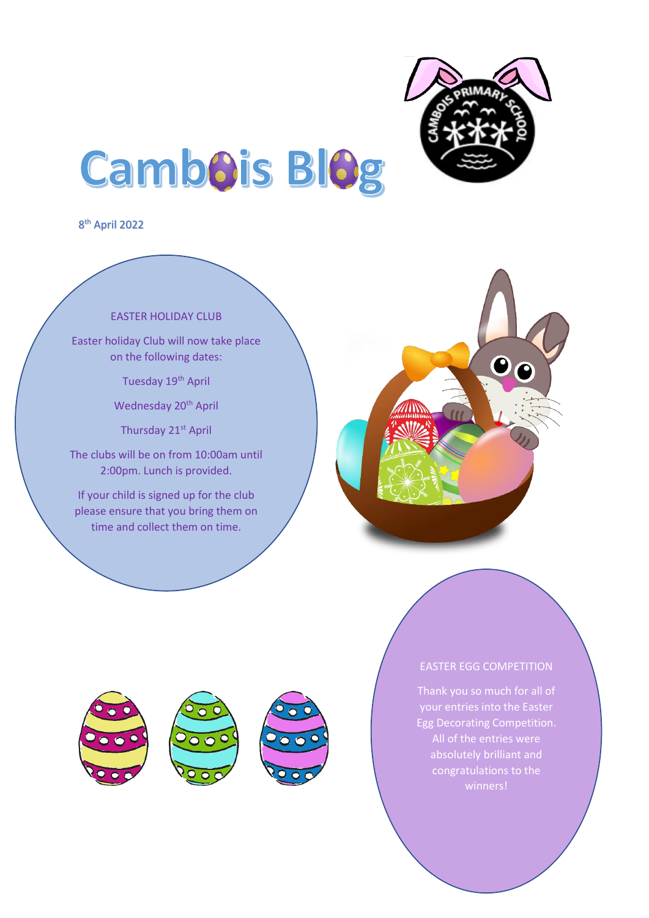

# **Cambois Blog**

8 th April 2022

### EASTER HOLIDAY CLUB

Easter holiday Club will now take place on the following dates:

Tuesday 19<sup>th</sup> April

Wednesday 20<sup>th</sup> April

Thursday 21st April

The clubs will be on from 10:00am until 2:00pm. Lunch is provided.

If your child is signed up for the club please ensure that you bring them on time and collect them on time.

l,





## EASTER EGG COMPETITION

Egg Decorating Competition. congratulations to the winners!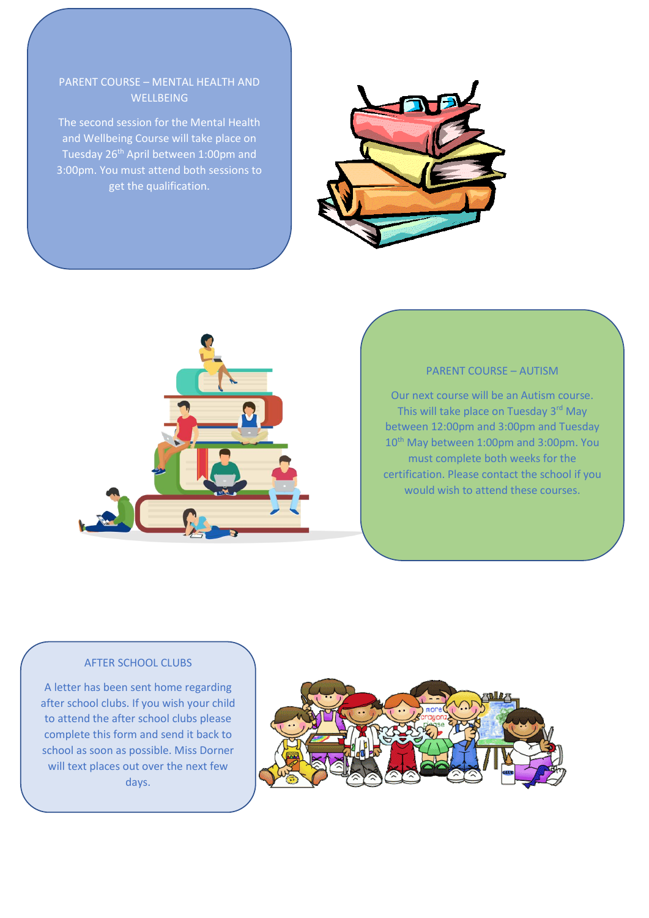## PARENT COURSE – MENTAL HEALTH AND **WELLBEING**

The second session for the Mental Health and Wellbeing Course will take place on Tuesday 26<sup>th</sup> April between 1:00pm and 3:00pm. You must attend both sessions to get the qualification.





#### PARENT COURSE – AUTISM

Our next course will be an Autism course. This will take place on Tuesday 3rd May between 12:00pm and 3:00pm and Tuesday 10<sup>th</sup> May between 1:00pm and 3:00pm. You must complete both weeks for the certification. Please contact the school if you would wish to attend these courses.

#### AFTER SCHOOL CLUBS

A letter has been sent home regarding after school clubs. If you wish your child to attend the after school clubs please complete this form and send it back to school as soon as possible. Miss Dorner will text places out over the next few days.

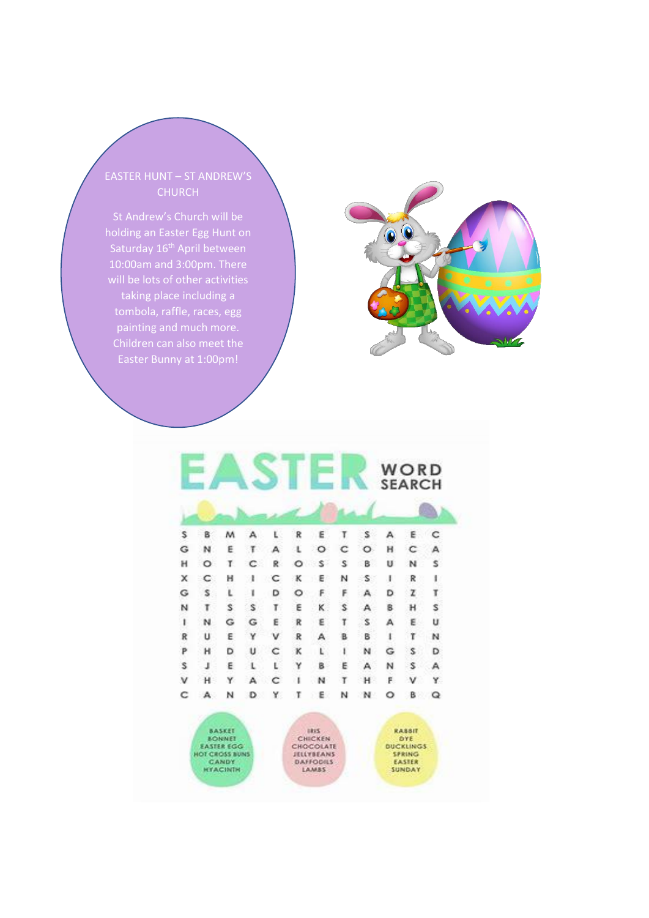EASTER HUNT – ST ANDREW'S CHURCH

holding an Easter Egg Hunt on Saturday 16<sup>th</sup> April between 10:00am and 3:00pm. There will be lots of other activities taking place including a tombola, raffle, races, egg painting and much more. Easter Bunny at 1:00pm!

 $\overline{\phantom{0}}$